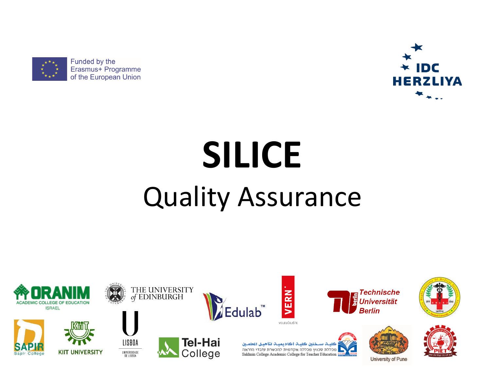



# **SILICE** Quality Assurance

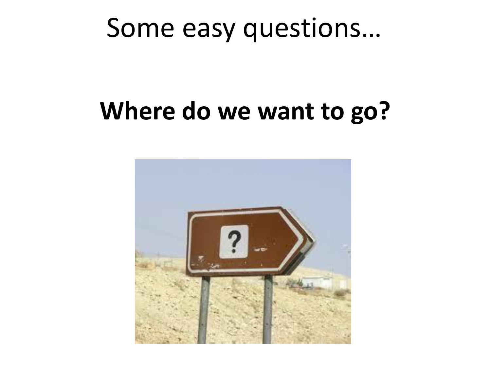#### **Where do we want to go?**

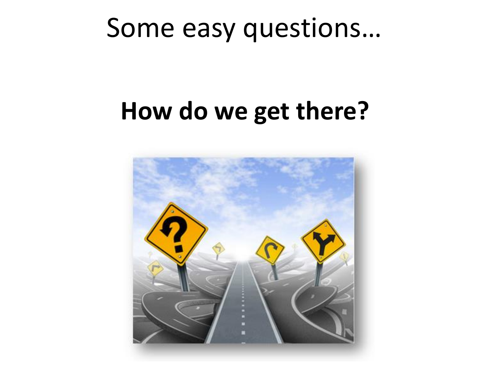#### **How do we get there?**

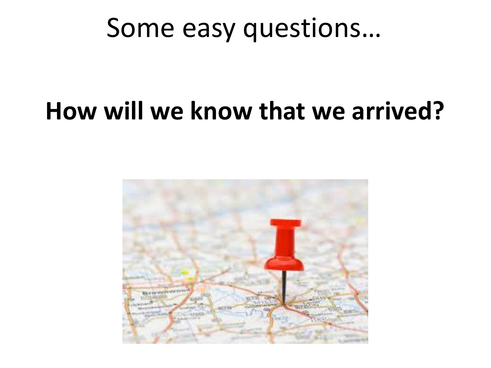### **How will we know that we arrived?**

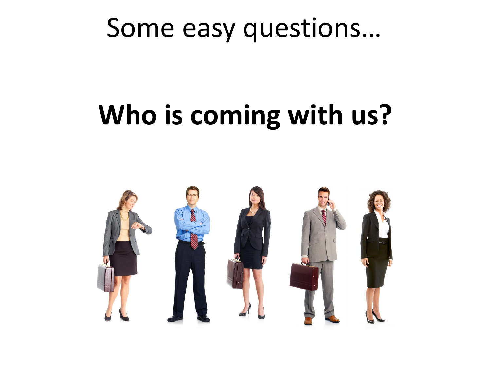# **Who is coming with us?**

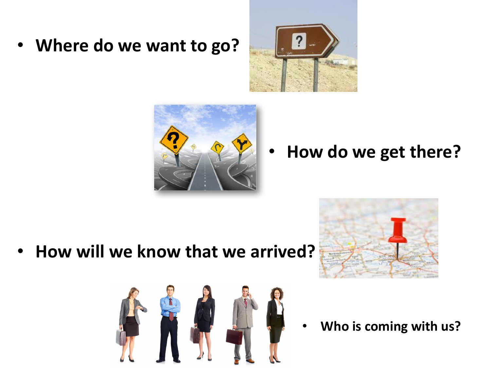• **Where do we want to go?**





• **How do we get there?**

• **How will we know that we arrived?**





• **Who is coming with us?**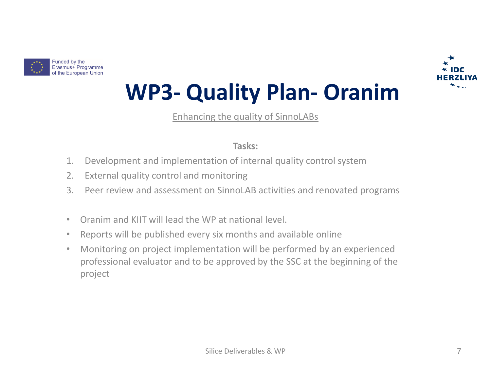



#### **WP3- Quality Plan- Oranim**

Enhancing the quality of SinnoLABs

#### **Tasks:**

- 1. Development and implementation of internal quality control system
- 2. External quality control and monitoring
- 3. Peer review and assessment on SinnoLAB activities and renovated programs
- Oranim and KIIT will lead the WP at national level.
- Reports will be published every six months and available online
- Monitoring on project implementation will be performed by an experienced professional evaluator and to be approved by the SSC at the beginning of the project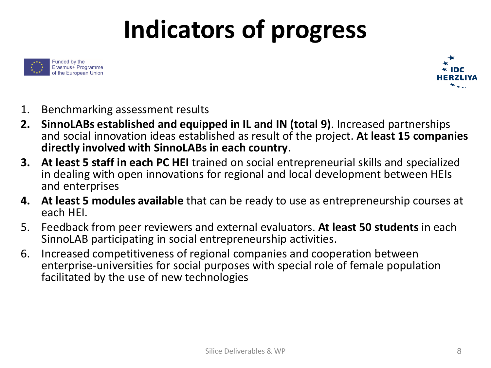# **Indicators of progress**





- 1. Benchmarking assessment results
- **2. SinnoLABs established and equipped in IL and IN (total 9)**. Increased partnerships and social innovation ideas established as result of the project. **At least 15 companies directly involved with SinnoLABs in each country**.
- **3. At least 5 staff in each PC HEI** trained on social entrepreneurial skills and specialized in dealing with open innovations for regional and local development between HEIs and enterprises
- **4. At least 5 modules available** that can be ready to use as entrepreneurship courses at each HEI.
- 5. Feedback from peer reviewers and external evaluators. **At least 50 students** in each SinnoLAB participating in social entrepreneurship activities.
- 6. Increased competitiveness of regional companies and cooperation between enterprise-universities for social purposes with special role of female population facilitated by the use of new technologies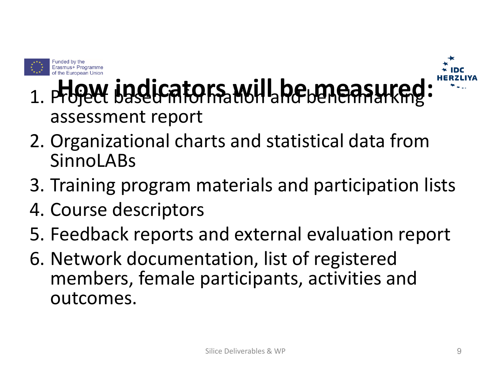



- 1. Project based mitoris will be measured: assessment report
- 2. Organizational charts and statistical data from SinnoLABs
- 3. Training program materials and participation lists
- 4. Course descriptors
- 5. Feedback reports and external evaluation report
- 6. Network documentation, list of registered members, female participants, activities and outcomes.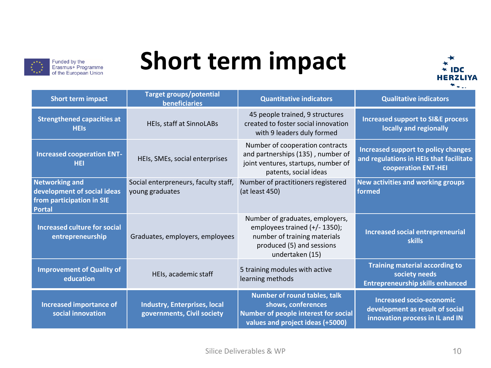

#### **Short term impact**



|                                                                                                    | <b>Target groups/potential</b>                                    |                                                                                                                                                  |                                                                                                              |
|----------------------------------------------------------------------------------------------------|-------------------------------------------------------------------|--------------------------------------------------------------------------------------------------------------------------------------------------|--------------------------------------------------------------------------------------------------------------|
| <b>Short term impact</b>                                                                           | <b>beneficiaries</b>                                              | <b>Quantitative indicators</b>                                                                                                                   | <b>Qualitative indicators</b>                                                                                |
| <b>Strengthened capacities at</b><br><b>HEIs</b>                                                   | HEIs, staff at SinnoLABs                                          | 45 people trained, 9 structures<br>created to foster social innovation<br>with 9 leaders duly formed                                             | <b>Increased support to SI&amp;E process</b><br>locally and regionally                                       |
| <b>Increased cooperation ENT-</b><br><b>HEI</b>                                                    | HEIs, SMEs, social enterprises                                    | Number of cooperation contracts<br>and partnerships (135), number of<br>joint ventures, startups, number of<br>patents, social ideas             | Increased support to policy changes<br>and regulations in HEIs that facilitate<br><b>cooperation ENT-HEI</b> |
| <b>Networking and</b><br>development of social ideas<br>from participation in SIE<br><b>Portal</b> | Social enterpreneurs, faculty staff,<br>young graduates           | Number of practitioners registered<br>(at least 450)                                                                                             | <b>New activities and working groups</b><br>formed                                                           |
| <b>Increased culture for social</b><br>entrepreneurship                                            | Graduates, employers, employees                                   | Number of graduates, employers,<br>employees trained (+/- 1350);<br>number of training materials<br>produced (5) and sessions<br>undertaken (15) | <b>Increased social entrepreneurial</b><br><b>skills</b>                                                     |
| <b>Improvement of Quality of</b><br>education                                                      | HEIs, academic staff                                              | 5 training modules with active<br>learning methods                                                                                               | <b>Training material according to</b><br>society needs<br><b>Entrepreneurship skills enhanced</b>            |
| <b>Increased importance of</b><br>social innovation                                                | <b>Industry, Enterprises, local</b><br>governments, Civil society | <b>Number of round tables, talk</b><br>shows, conferences<br>Number of people interest for social<br>values and project ideas (+5000)            | <b>Increased socio-economic</b><br>development as result of social<br>innovation process in IL and IN        |